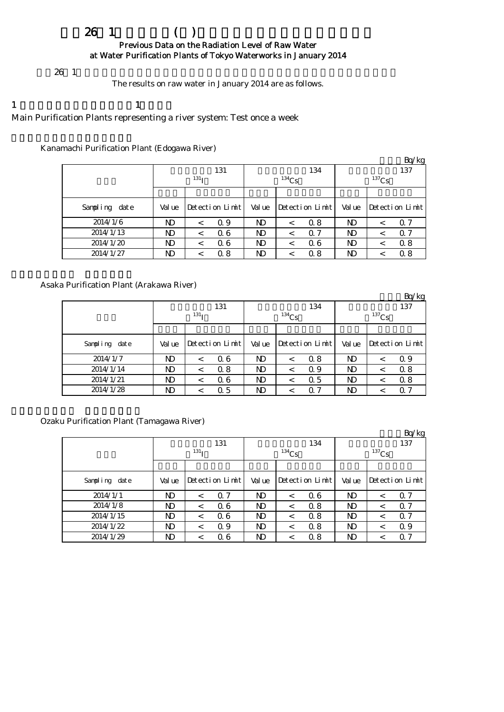# $26 \t1 \t\t ()$ Previous Data on the Radiation Level of Raw Water

at Water Purification Plants of Tokyo Waterworks in January 2014

 $26 \t1$ 

The results on raw water in January 2014 are as follows.

### 1  $\qquad \qquad 1$

Main Purification Plants representing a river system: Test once a week

#### Kanamachi Purification Plant (Edogawa River)

|               |        |                 |        |                 |          | Bq/kg           |  |  |  |
|---------------|--------|-----------------|--------|-----------------|----------|-----------------|--|--|--|
|               |        | 131             |        | 134             |          | 137             |  |  |  |
|               |        | $^{131}$ I      |        | $134$ Cs        | $137$ Cs |                 |  |  |  |
|               |        |                 |        |                 |          |                 |  |  |  |
| Sampling date | Val ue | Detection Limit | Val ue | Detection Limit | Val ue   | Detection Limit |  |  |  |
| 2014/1/6      | ND     | Q 9<br>$\,<\,$  | ND     | 0.8             | ND       | 0.7<br>$\,<\,$  |  |  |  |
| 2014/1/13     | ND     | 0.6<br>$\,<\,$  | ND     | $\alpha$ 7      | ND       | Q 7<br>$\,<\,$  |  |  |  |
| 2014/1/20     | ND     | 06<br>$\,<\,$   | ND     | 06<br><         | ND       | 0.8<br>$\,<\,$  |  |  |  |
| 2014/1/27     | ND     | 0.8<br><        | ND     | 0.8             | ND       | 0.8<br><        |  |  |  |

#### Asaka Purification Plant (Arakawa River)

|               |              |                  |        |                 |          | Bq/kg           |  |  |
|---------------|--------------|------------------|--------|-----------------|----------|-----------------|--|--|
|               |              | 131              |        | 134             | 137      |                 |  |  |
|               |              | 131 <sub>T</sub> |        | $134$ Cs        | $137$ Cs |                 |  |  |
|               |              |                  |        |                 |          |                 |  |  |
| Sampling date | Val ue       | Detection Limit  | Val ue | Detection Limit | Val ue   | Detection Limit |  |  |
| 2014/1/7      | $\mathbf{D}$ | 06<br>$\,<\,$    | ND     | 0.8             | ND       | Q 9<br>$\,<\,$  |  |  |
| 2014/1/14     | ND           | 0.8<br>$\,<\,$   | ND     | 0.9             | ND       | 0.8<br>$\,<\,$  |  |  |
| 2014/1/21     | ND           | 06<br>$\,<\,$    | ND     | 0.5<br>$\,<\,$  | ND       | 0.8<br>$\,<\,$  |  |  |
| 2014/1/28     | ND           | 0.5<br>$\,<\,$   | ND     | 0.7             | ND       | 0.7<br>$\,<\,$  |  |  |

### Ozaku Purification Plant (Tamagawa River)

|                  |                |                  |                 |          |         |                 |          |         | Bq/kg           |  |
|------------------|----------------|------------------|-----------------|----------|---------|-----------------|----------|---------|-----------------|--|
|                  |                |                  | 131             |          |         | 134             | 137      |         |                 |  |
|                  |                | 131 <sub>T</sub> |                 | $134$ Cs |         |                 | $137$ Cs |         |                 |  |
|                  |                |                  |                 |          |         |                 |          |         |                 |  |
| Sampling<br>date | Val ue         |                  | Detection Limit | Val ue   |         | Detection Limit | Val ue   |         | Detection Limit |  |
| 2014/1/1         | N <sub>D</sub> | $\,<\,$          | 0.7             | ND       | $\,<\,$ | 06              | ND       | $\,<\,$ | 0.7             |  |
| 2014/1/8         | ND             | $\,<\,$          | 06              | ND       | $\,<\,$ | 0.8             | ND       | $\,<\,$ | Q 7             |  |
| 2014/1/15        | ND             | $\,<\,$          | 06              | ND       | $\,<\,$ | 0.8             | ND       | $\,<\,$ | 0.7             |  |
| 2014/1/22        | ND             | $\,<\,$          | Q 9             | ND       | $\,<\,$ | 0.8             | ND       | $\,<\,$ | 0.9             |  |
| 2014/1/29        | ND             | <                | 06              | ND.      |         | 0.8             | ND       | $\,<\,$ | Q 7             |  |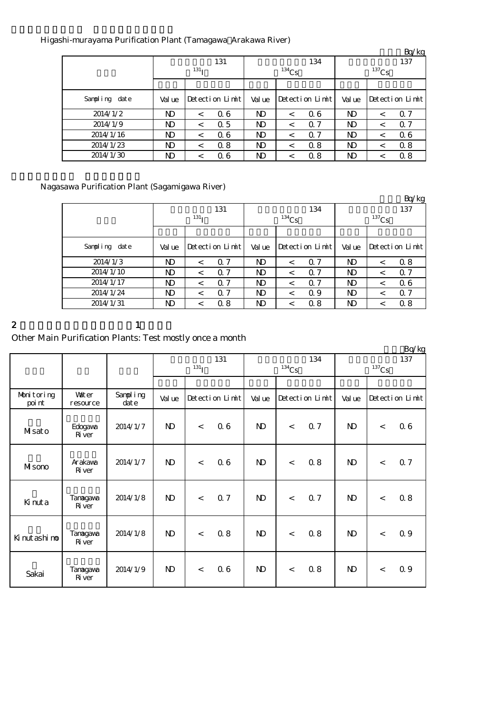### Higashi-murayama Purification Plant (Tamagawa Arakawa River)

|                   |                |                  |                 |                |         |                 |              |         | Bq/kg           |  |
|-------------------|----------------|------------------|-----------------|----------------|---------|-----------------|--------------|---------|-----------------|--|
|                   |                |                  | 131             |                |         | 134             | 137          |         |                 |  |
|                   |                | 131 <sub>T</sub> |                 | $134$ Cs       |         |                 | $137$ Cs     |         |                 |  |
|                   |                |                  |                 |                |         |                 |              |         |                 |  |
| Sampling<br>dat e | Value          |                  | Detection Limit | Val ue         |         | Detection Limit | Val ue       |         | Detection Limit |  |
| 2014/1/2          | N)             | $\,<\,$          | 0.6             | ND.            | $\,<\,$ | 06              | ND           | $\,<\,$ | 0.7             |  |
| 2014/1/9          | ND.            | $\,<\,$          | 0.5             | ND             | $\,<\,$ | $\Omega$ 7      | N)           | $\,<\,$ | 0.7             |  |
| 2014/1/16         | N <sub>D</sub> | $\,<\,$          | 06              | ND.            | $\,<\,$ | $\Omega$ 7      | N)           | $\,<\,$ | 0.6             |  |
| 2014/1/23         | ND.            | $\,<\,$          | 0.8             | N <sub>D</sub> | $\,<\,$ | 0.8             | $\mathbf{D}$ | $\,<\,$ | 0.8             |  |
| 2014/1/30         | ND             |                  | 06              | ND             | $\,<\,$ | 0.8             | ND           | $\,<\,$ | 0.8             |  |

#### Nagasawa Purification Plant (Sagamigawa River)

|               |              |                 |  |        |          |                 |        |          | Bq/kg           |  |
|---------------|--------------|-----------------|--|--------|----------|-----------------|--------|----------|-----------------|--|
|               |              | 131             |  |        |          | 134             | 137    |          |                 |  |
|               |              | $^{131}$ I      |  |        | $134$ Cs |                 |        | $137$ Cs |                 |  |
|               |              |                 |  |        |          |                 |        |          |                 |  |
| Sampling date | Val ue       | Detection Limit |  | Val ue |          | Detection Limit | Val ue |          | Detection Limit |  |
| 2014/1/3      | ND           | 0.7<br>$\,<\,$  |  | ND     | <        | $\Omega$ 7      | ND     | $\,<\,$  | 0.8             |  |
| 2014/1/10     | ND           | Q 7<br>$\,<\,$  |  | ND     | $\,<\,$  | $\Omega$ 7      | N)     | $\,<\,$  | Q 7             |  |
| 2014/1/17     | ND           | 0.7<br>$\,<\,$  |  | ND     | $\,<\,$  | $\Omega$ 7      | ND.    | $\,<\,$  | 0.6             |  |
| 2014/1/24     | $\mathbf{D}$ | 0.7<br>$\,<\,$  |  | ND     | <        | 0.9             | ND     | $\,<\,$  | 0.7             |  |
| 2014/1/31     | ND           | 0.8<br>$\,<\,$  |  | ND     | <        | 0.8             | ND     | $\,<\,$  | 0.8             |  |

2  $\hspace{1.6cm}1$ 

## Other Main Purification Plants: Test mostly once a month

|                      |                           |                      |              |                         |                 |              |                 |                 |              |                            | Bq/kg           |  |
|----------------------|---------------------------|----------------------|--------------|-------------------------|-----------------|--------------|-----------------|-----------------|--------------|----------------------------|-----------------|--|
|                      |                           |                      |              | 131<br>131 <sub>I</sub> |                 |              | 134<br>$134$ Cs |                 |              | 137<br>$^{137}\mathrm{Cs}$ |                 |  |
|                      |                           |                      |              |                         |                 |              |                 |                 |              |                            |                 |  |
| Monitoring<br>poi nt | <b>Vater</b><br>resource  | Sampling<br>$\det e$ | Val ue       |                         | Detection Limit | Val ue       |                 | Detection Limit | Val ue       |                            | Detection Limit |  |
| Misato               | Edogava<br><b>R</b> iver  | 2014/1/7             | $\mathbf{N}$ | $\lt$                   | 06              | $\mathbf{D}$ | $\lt$           | 0.7             | $\mathbf{D}$ | $\lt$                      | 06              |  |
| Misono               | Arakawa<br><b>R</b> iver  | 2014/1/7             | $\mathbf{D}$ | $\lt$                   | 0.6             | $\mathbf{D}$ | $\prec$         | 0.8             | $\mathbf{D}$ | $\lt$                      | 0.7             |  |
| Kinuta               | Tanagawa<br><b>R</b> iver | 2014/1/8             | $\mathbf{D}$ | $\lt$                   | 0.7             | $\mathbf{D}$ | $\lt$           | 0.7             | $\mathbf{D}$ | $\lt$                      | 0.8             |  |
| Ki nut ashi no       | Tanagawa<br>River         | 2014/1/8             | $\mathbf{D}$ | $\lt$                   | 0.8             | $\mathbf{D}$ | $\lt$           | 0.8             | $\mathbf{D}$ | $\lt$                      | 0.9             |  |
| Sakai                | Tanagawa<br><b>R</b> iver | 2014/1/9             | $\mathbf{D}$ | $\lt$                   | 0.6             | $\mathbf{D}$ | $\lt$           | 0.8             | $\mathbf{D}$ | $\lt$                      | 0.9             |  |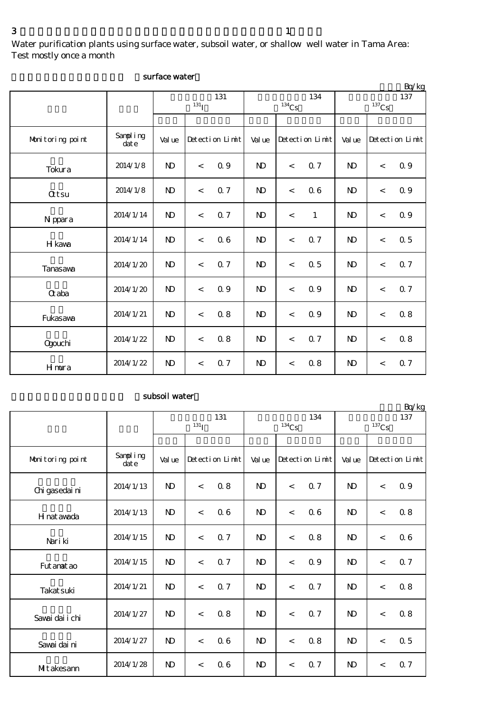Water purification plants using surface water, subsoil water, or shallow well water in Tama Area: Test mostly once a month

|                  |                  |              |                   |                 |                |          |                 |                            |         | Bq/kg           |
|------------------|------------------|--------------|-------------------|-----------------|----------------|----------|-----------------|----------------------------|---------|-----------------|
|                  |                  |              | 131<br>$^{131}$ I |                 |                | $134$ Cs | 134             | 137<br>$^{137}\mathrm{Cs}$ |         |                 |
|                  |                  |              |                   |                 |                |          |                 |                            |         |                 |
| Monitoring point | Sampling<br>date | Val ue       |                   | Detection Limit | Val ue         |          | Detection Limit | Val ue                     |         | Detection Limit |
| Tokura           | 2014/1/8         | <b>ND</b>    | $\lt$             | 0.9             | N <sub>D</sub> | $\,<$    | 0.7             | $\mathbf{N}$               | $\prec$ | 0.9             |
| <b>Qtsu</b>      | 2014/1/8         | $\mathbf{D}$ | $\,<$             | 0.7             | N <sub>D</sub> | $\,<$    | 06              | $\mathbf{N}$               | $\prec$ | 0.9             |
| N ppara          | 2014/1/14        | $\mathbf{N}$ | $\overline{a}$    | 0.7             | N <sub>D</sub> | $\,<$    | $\mathbf{1}$    | $\mathbf{N}$               | $\lt$   | $0.9\,$         |
| H kava           | 2014/1/14        | $\mathbf{N}$ | $\,<$             | 0.6             | N <sub>D</sub> | $\,<$    | 0.7             | $\mathbf{D}$               | $\lt$   | 0.5             |
| Tanasawa         | 2014/1/20        | $\mathbf{N}$ | $\lt$             | 0.7             | N <sub>D</sub> | $\,<$    | 0.5             | $\mathbf{N}$               | $\prec$ | 0.7             |
| Craba            | 2014/1/20        | $\mathbf{D}$ | $\,<$             | 0.9             | N <sub>D</sub> | $\,<$    | 0.9             | $\mathbf{D}$               | $\,<$   | 0.7             |
| Fukasawa         | 2014/1/21        | $\mathbf{N}$ | $\lt$             | 0.8             | N <sub>D</sub> | $\,<$    | $0.9\,$         | $\mathbf{N}$               | $\prec$ | $0.8\,$         |
| <b>Ogouchi</b>   | 2014/1/22        | $\mathbf{N}$ | $\,<$             | 0.8             | N <sub>D</sub> | $\,<$    | 0.7             | $\mathbf{N}$               | $\,<$   | $0.8\,$         |
| Hmura            | 2014/1/22        | $\mathbf{N}$ | $\,<$             | 0.7             | N <sub>D</sub> | $\,<$    | 0.8             | $\mathbf{N}$               | $\,<$   | 0.7             |

#### surface water

## subsoil water

|                  |                  |                |                    |                 |                |          |                 |                 |       | $D(y)$ $R$      |  |
|------------------|------------------|----------------|--------------------|-----------------|----------------|----------|-----------------|-----------------|-------|-----------------|--|
|                  |                  |                | $^{131}\mathrm{I}$ | 131             |                | $134$ Cs | 134             | 137<br>$137$ Cs |       |                 |  |
|                  |                  |                |                    |                 |                |          |                 |                 |       |                 |  |
|                  |                  |                |                    |                 |                |          |                 |                 |       |                 |  |
| Monitoring point | Sampling<br>date | Val ue         |                    | Detection Limit | Val ue         |          | Detection Limit | Val ue          |       | Detection Limit |  |
| Chi gasedai ni   | 2014/1/13        | N <sub>D</sub> | $\lt$              | 0.8             | $\mathbf{D}$   | $\prec$  | 0.7             | $\mathbf{D}$    | $\,<$ | 0.9             |  |
| H nat awada      | 2014/1/13        | <b>ND</b>      | $\lt$              | 0.6             | $\mathbf{N}$   | $\lt$    | 06              | $\mathbf{N}$    | $\,<$ | 0.8             |  |
| Nari ki          | 2014/1/15        | <b>ND</b>      | $\lt$              | 0.7             | $\mathbf{D}$   | $\lt$    | 0.8             | $\mathbf{N}$    | $\lt$ | 0.6             |  |
| Fut anat ao      | 2014/1/15        | $\mathbf{N}$   | $\lt$              | 0.7             | $\mathbf{N}$   | $\lt$    | $\Omega$ 9      | $\mathbf{N}$    | $\lt$ | 0.7             |  |
| Takat suki       | 2014/1/21        | $\mathbf{N}$   | $\lt$              | 0.7             | $\mathbf{N}$   | $\lt$    | 0.7             | $\mathbf{N}$    | $\,<$ | 0.8             |  |
| Savai dai i chi  | 2014/1/27        | $\mathbf{N}$   | $\lt$              | 0.8             | $\mathbf{N}$   | $\lt$    | 0.7             | $\mathbf{N}$    | $\,<$ | 0.8             |  |
| Savai dai ni     | 2014/1/27        | $\mathbf{N}$   | $\lt$              | 0.6             | $\mathbf{N}$   | $\lt$    | 0.8             | $\mathbf{N}$    | $\lt$ | 0.5             |  |
| MIt akesann      | 2014/1/28        | $\mathbf{N}$   | $\,<\,$            | 0.6             | N <sub>D</sub> | $\,<$    | 0.7             | $\mathbf{D}$    | $\,<$ | 0.7             |  |

 $Rn/kg$